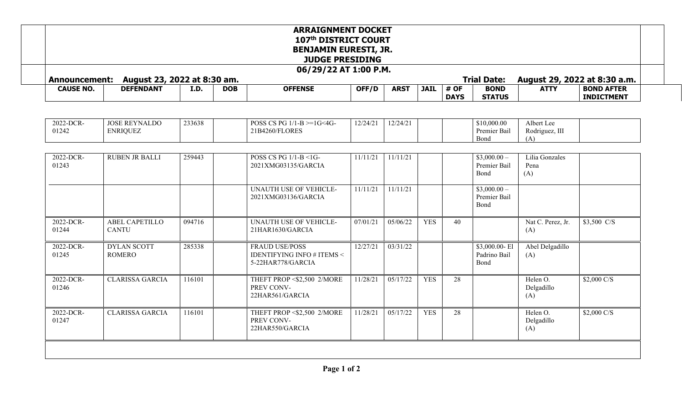| <b>ARRAIGNMENT DOCKET</b><br>107th DISTRICT COURT<br><b>BENJAMIN EURESTI, JR.</b><br><b>JUDGE PRESIDING</b><br>06/29/22 AT 1:00 P.M.<br><b>Trial Date:</b><br>August 23, 2022 at 8:30 am.<br>August 29, 2022 at 8:30 a.m.<br><b>Announcement:</b> |                                         |        |  |                                                                                    |          |          |            |    |                                       |                                     |                  |
|---------------------------------------------------------------------------------------------------------------------------------------------------------------------------------------------------------------------------------------------------|-----------------------------------------|--------|--|------------------------------------------------------------------------------------|----------|----------|------------|----|---------------------------------------|-------------------------------------|------------------|
|                                                                                                                                                                                                                                                   |                                         |        |  |                                                                                    |          |          |            |    |                                       | <b>CAUSE NO.</b>                    | <b>DEFENDANT</b> |
|                                                                                                                                                                                                                                                   |                                         |        |  |                                                                                    |          |          |            |    |                                       |                                     |                  |
| 2022-DCR-<br>01242                                                                                                                                                                                                                                | <b>JOSE REYNALDO</b><br><b>ENRIQUEZ</b> | 233638 |  | POSS CS PG $1/1-B = 1G < 4G$<br>21B4260/FLORES                                     | 12/24/21 | 12/24/21 |            |    | \$10,000.00<br>Premier Bail<br>Bond   | Albert Lee<br>Rodriguez, III<br>(A) |                  |
| 2022-DCR-<br>01243                                                                                                                                                                                                                                | <b>RUBEN JR BALLI</b>                   | 259443 |  | POSS CS PG 1/1-B <1G-<br>2021XMG03135/GARCIA                                       | 11/11/21 | 11/11/21 |            |    | $$3,000.00-$<br>Premier Bail<br>Bond  | Lilia Gonzales<br>Pena<br>(A)       |                  |
|                                                                                                                                                                                                                                                   |                                         |        |  | UNAUTH USE OF VEHICLE-<br>2021XMG03136/GARCIA                                      | 11/11/21 | 11/11/21 |            |    | $$3,000.00-$<br>Premier Bail<br>Bond  |                                     |                  |
| 2022-DCR-<br>01244                                                                                                                                                                                                                                | <b>ABEL CAPETILLO</b><br><b>CANTU</b>   | 094716 |  | <b>UNAUTH USE OF VEHICLE-</b><br>21HAR1630/GARCIA                                  | 07/01/21 | 05/06/22 | <b>YES</b> | 40 |                                       | Nat C. Perez, Jr.<br>(A)            | $$3,500$ C/S     |
| 2022-DCR-<br>01245                                                                                                                                                                                                                                | <b>DYLAN SCOTT</b><br><b>ROMERO</b>     | 285338 |  | <b>FRAUD USE/POSS</b><br><b>IDENTIFYING INFO # ITEMS &lt;</b><br>5-22HAR778/GARCIA | 12/27/21 | 03/31/22 |            |    | \$3,000.00-El<br>Padrino Bail<br>Bond | Abel Delgadillo<br>(A)              |                  |
| 2022-DCR-<br>01246                                                                                                                                                                                                                                | <b>CLARISSA GARCIA</b>                  | 116101 |  | THEFT PROP <\$2,500 2/MORE<br>PREV CONV-<br>22HAR561/GARCIA                        | 11/28/21 | 05/17/22 | <b>YES</b> | 28 |                                       | Helen O.<br>Delgadillo<br>(A)       | $$2,000$ C/S     |
| 2022-DCR-<br>01247                                                                                                                                                                                                                                | <b>CLARISSA GARCIA</b>                  | 116101 |  | THEFT PROP <\$2,500 2/MORE<br>PREV CONV-<br>22HAR550/GARCIA                        | 11/28/21 | 05/17/22 | <b>YES</b> | 28 |                                       | Helen O.<br>Delgadillo<br>(A)       | $$2,000$ C/S     |